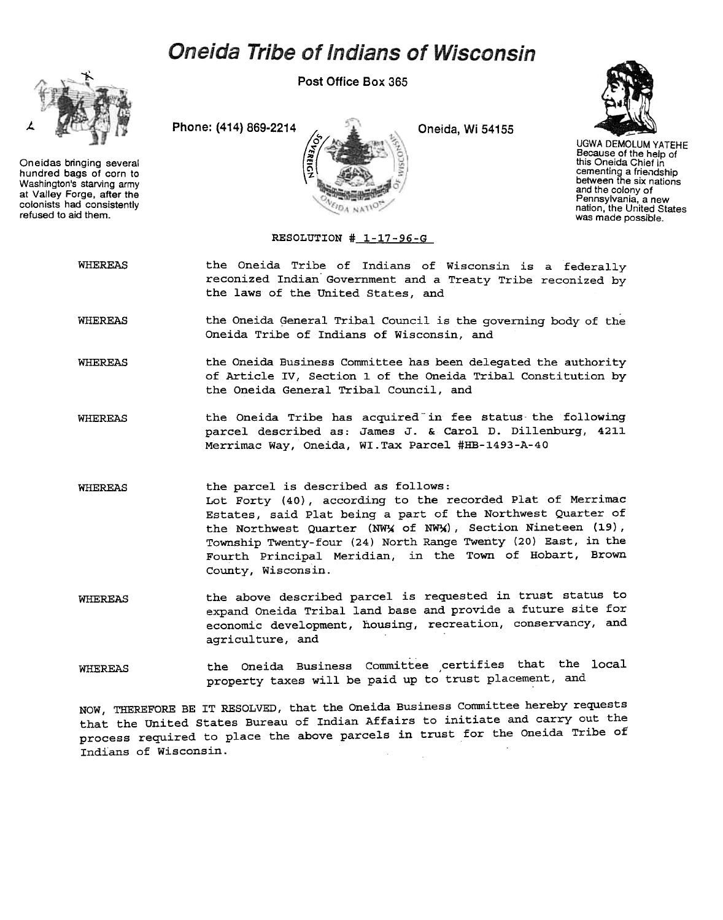## **Oneida Tribe of Indians of Wisconsin**



Oneidas bringing several hundred bags of corn to Washington's starving army at Valley Forge, after the colonists had consistently refused to aid them.

Post Office Box 365





UGWA DEMOlUM YATEHE Because of the help of this Oneida Chief in cementing a friendship between the six nations and the colony of Pennsylvania. a new nation, the United States was made possible.

## RESOLUTION # 1-17-96-G

WHEREAS the Oneida Tribe of Indians of Wisconsin is a federally reconized Indian' Government and a Treaty Tribe reconized by the laws of the United States, and

WHEREAS the Oneida General Tribal Council is the governing body of the Oneida Tribe of Indians of Wisconsin, and

WHEREAS the Oneida Business Committee has been delegated the authority of Article IV, Section 1 of the Oneida Tribal Constitution by the Oneida General Tribal Council, and

WHEREAS the Oneida Tribe has acquired in fee status the following parcel described as: James J. & Carol D. Dillenburg, 4211 Merrimac Way, Oneida, WI.Tax Parcel #HB-1493-A-40

WHEREAS the parcel is described as follows: Lot Forty (40), according to the recorded Plat of Merrimac Estates, said Plat being a part of the Northwest Quarter of the Northwest Quarter (NWX of NWX), Section Nineteen (19), Township Twenty-four (24) North Range Twenty (20) East, in the Fourth Principal Meridian, in the Town of Hobart, Brown County, Wisconsin.

the above described parcel is requested in trust status to expand Oneida Tribal land base and provide a future site for economic development, housing, recreation, conservancy, and agriculture, and WHEREAS

WHEREAS the Oneida Business Committee certifies that the local property taxes will be paid up to trust placement, and

NOW, THEREFORE BE IT RESOLVED, that the Oneida Business committee hereby requests that the united States Bureau of Indian Affairs to initiate and carry out the process required to place the above parcels in trust for the Oneida Tribe of Indians of Wisconsin.